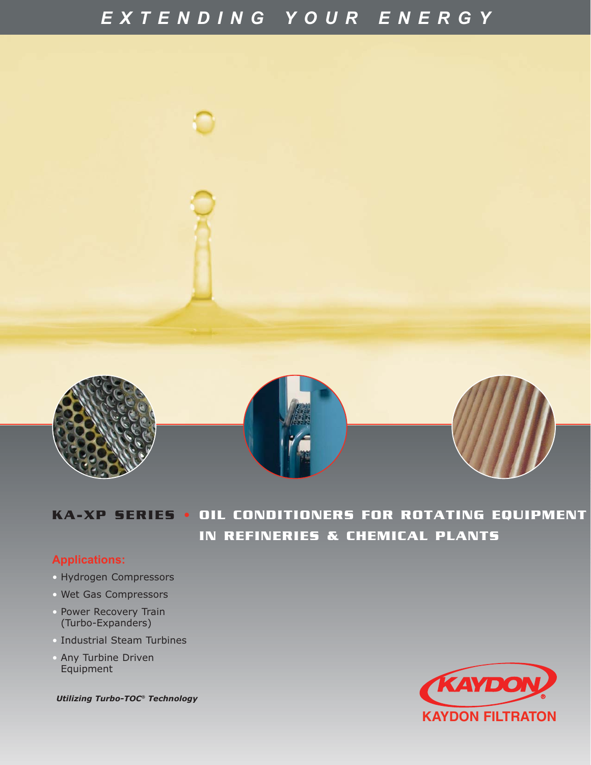

KA-XP SERIES • OIL CONDITIONERS FOR ROTATING EQUIPMENT **IN REFINERIES & CHEMICAL PLANTS**

# **Applications:**

- Hydrogen Compressors
- Wet Gas Compressors
- Power Recovery Train (Turbo-Expanders)
- Industrial Steam Turbines
- Any Turbine Driven Equipment

*Utilizing Turbo-TOC® Technology*

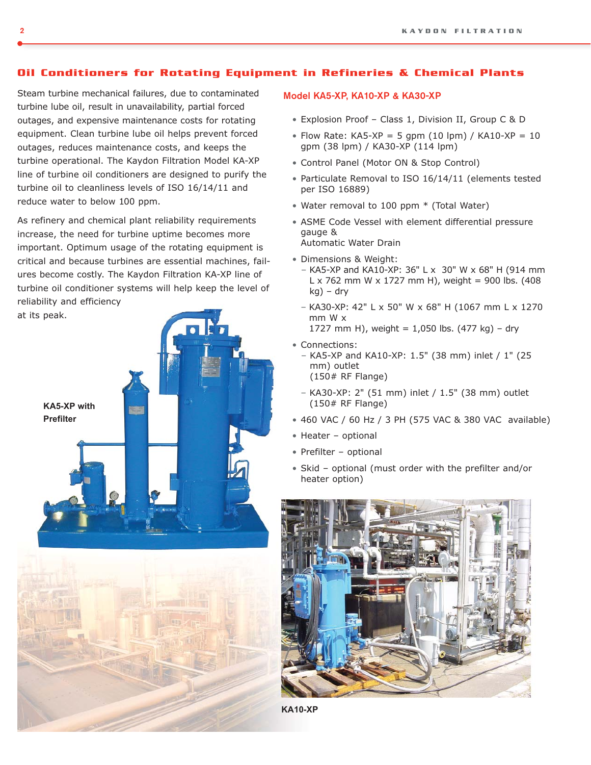# **Oil Conditioners for Rotating Equipment in Refineries & Chemical Plants**

Steam turbine mechanical failures, due to contaminated turbine lube oil, result in unavailability, partial forced outages, and expensive maintenance costs for rotating equipment. Clean turbine lube oil helps prevent forced outages, reduces maintenance costs, and keeps the turbine operational. The Kaydon Filtration Model KA-XP line of turbine oil conditioners are designed to purify the turbine oil to cleanliness levels of ISO 16/14/11 and reduce water to below 100 ppm.

As refinery and chemical plant reliability requirements increase, the need for turbine uptime becomes more important. Optimum usage of the rotating equipment is critical and because turbines are essential machines, failures become costly. The Kaydon Filtration KA-XP line of turbine oil conditioner systems will help keep the level of reliability and efficiency



## Model KA5-XP, KA10-XP & KA30-XP

- Explosion Proof Class 1, Division II, Group C & D
- Flow Rate: KA5-XP = 5 gpm (10 lpm) / KA10-XP = 10 gpm (38 lpm) / KA30-XP (114 lpm)
- Control Panel (Motor ON & Stop Control)
- Particulate Removal to ISO 16/14/11 (elements tested per ISO 16889)
- Water removal to 100 ppm \* (Total Water)
- ASME Code Vessel with element differential pressure gauge & Automatic Water Drain
- Dimensions & Weight:
	- KA5-XP and KA10-XP: 36" L x 30" W x 68" H (914 mm L x 762 mm W x 1727 mm H), weight = 900 lbs. (408 kg) – dry
	- KA30-XP: 42" L x 50" W x 68" H (1067 mm L x 1270 mm W x

1727 mm H), weight =  $1,050$  lbs. (477 kg) - dry

- Connections:
	- KA5-XP and KA10-XP: 1.5" (38 mm) inlet / 1" (25 mm) outlet (150# RF Flange)
	- KA30-XP: 2" (51 mm) inlet / 1.5" (38 mm) outlet (150# RF Flange)
- 460 VAC / 60 Hz / 3 PH (575 VAC & 380 VAC available)
- Heater optional
- Prefilter optional
- Skid optional (must order with the prefilter and/or heater option)



**KA10-XP**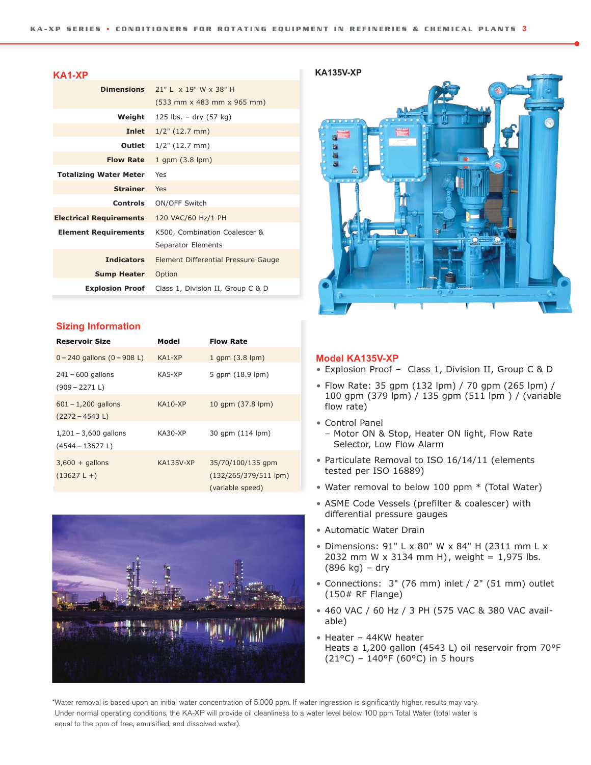| <b>Dimensions</b>              | 21"   x 19" W x 38" H               |  |
|--------------------------------|-------------------------------------|--|
|                                |                                     |  |
|                                | $(533$ mm x 483 mm x 965 mm)        |  |
| Weight                         | 125 lbs. – dry $(57 \text{ kg})$    |  |
| <b>Inlet</b>                   | $1/2$ " (12.7 mm)                   |  |
| Outlet                         | $1/2$ " (12.7 mm)                   |  |
| <b>Flow Rate</b>               | 1 gpm $(3.8 \text{ lpm})$           |  |
| <b>Totalizing Water Meter</b>  | Yes                                 |  |
| <b>Strainer</b>                | Yes                                 |  |
| Controls                       | ON/OFF Switch                       |  |
| <b>Electrical Requirements</b> | 120 VAC/60 Hz/1 PH                  |  |
| <b>Element Requirements</b>    | K500, Combination Coalescer &       |  |
|                                | Separator Elements                  |  |
| <b>Indicators</b>              | Element Differential Pressure Gauge |  |
| <b>Sump Heater</b>             | Option                              |  |
| <b>Explosion Proof</b>         | Class 1, Division II, Group C & D   |  |
|                                |                                     |  |

#### **Sizing Information**

| <b>Reservoir Size</b>                         | Model            | <b>Flow Rate</b>                                                 |
|-----------------------------------------------|------------------|------------------------------------------------------------------|
| $0 - 240$ gallons $(0 - 908)$                 | $KA1-XP$         | $1$ qpm $(3.8 \text{ lpm})$                                      |
| $241 - 600$ gallons<br>$(909 - 2271 L)$       | KA5-XP           | 5 qpm (18.9 lpm)                                                 |
| $601 - 1,200$ gallons<br>$(2272 - 4543 L)$    | $KAI0-XP$        | 10 qpm (37.8 lpm)                                                |
| $1,201 - 3,600$ gallons<br>$(4544 - 13627 L)$ | <b>KA30-XP</b>   | 30 qpm (114 lpm)                                                 |
| $3,600 +$ qallons<br>$(13627 L + )$           | <b>KA135V-XP</b> | 35/70/100/135 qpm<br>$(132/265/379/511$ lpm)<br>(variable speed) |





#### **Model KA135V-XP**

- Explosion Proof Class 1, Division II, Group C & D
- Flow Rate: 35 gpm (132 lpm) / 70 gpm (265 lpm) / 100 gpm (379 lpm) / 135 gpm (511 lpm ) / (variable flow rate)
- Control Panel
	- Motor ON & Stop, Heater ON light, Flow Rate Selector, Low Flow Alarm
- Particulate Removal to ISO 16/14/11 (elements tested per ISO 16889)
- Water removal to below 100 ppm \* (Total Water)
- ASME Code Vessels (prefilter & coalescer) with differential pressure gauges
- Automatic Water Drain
- Dimensions: 91" L x 80" W x 84" H (2311 mm L x 2032 mm W x 3134 mm H), weight =  $1,975$  lbs. (896 kg) – dry
- Connections: 3" (76 mm) inlet / 2" (51 mm) outlet (150# RF Flange)
- 460 VAC / 60 Hz / 3 PH (575 VAC & 380 VAC available)
- Heater 44KW heater Heats a 1,200 gallon (4543 L) oil reservoir from 70°F (21°C) – 140°F (60°C) in 5 hours

\*Water removal is based upon an initial water concentration of 5,000 ppm. If water ingression is significantly higher, results may vary. Under normal operating conditions, the KA-XP will provide oil cleanliness to a water level below 100 ppm Total Water (total water is equal to the ppm of free, emulsified, and dissolved water).